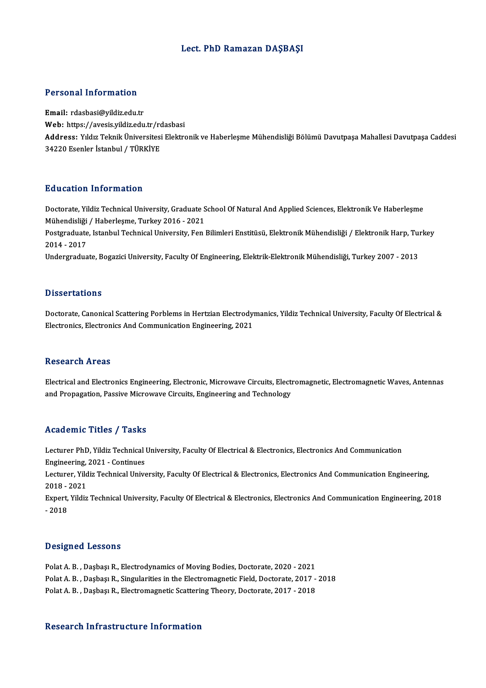## Lect. PhD Ramazan DAŞBAŞI

#### Personal Information

Email: rdasbasi@yildiz.edu.tr r oroonar miror macron<br>Email: rdasbasi@yildiz.edu.tr<br>Web: https://avesis.yildiz.edu.tr/rdasbasi<br>Address. <sup>vildur Tolmik Üniversitesi Flektre</sup> Address: Yıldız Teknik Üniversitesi Elektronik ve Haberleşme Mühendisliği Bölümü Davutpaşa Mahallesi Davutpaşa Caddesi<br>34220 Esenler İstanbul / TÜRKİYE Web: https://avesis.yildiz.edu.tr/rc<br>Address: Yıldız Teknik Üniversitesi<br>34220 Esenler İstanbul / TÜRKİYE

## Education Information

Education Information<br>Doctorate, Yildiz Technical University, Graduate School Of Natural And Applied Sciences, Elektronik Ve Haberleşme<br>Mühandisliği / Haberlesme, Turkey 2016 - 2021 Mühendisliği / Haberlessi<br>Doctorate, Yildiz Technical University, Graduate S<br>Mühendisliği / Haberleşme, Turkey 2016 - 2021<br>Postsyaduate, Istanbul Technical University, Fon Doctorate, Yildiz Technical University, Graduate School Of Natural And Applied Sciences, Elektronik Ve Haberleşme<br>Mühendisliği / Haberleşme, Turkey 2016 - 2021<br>Postgraduate, Istanbul Technical University, Fen Bilimleri Ens Mühendisliği / Haberleşme, Turkey 2016 - 2021<br>Postgraduate, Istanbul Technical University, Fen Bilimleri Enstitüsü, Elektronik Mühendisliği / Elektronik Harp, Tu<br>2014 - 2017<br>Undergraduate, Bogazici University, Faculty Of E Postgraduate, Istanbul Technical University, Fen Bilimleri Enstitüsü, Elektronik Mühendisliği / Elektronik Harp, Turkey

## **Dissertations**

Doctorate, Canonical Scattering Porblems in Hertzian Electrodymanics, Yildiz Technical University, Faculty Of Electrical & Electronics, Electronics And Communication Engineering, 2021

#### **Research Areas**

Research Areas<br>Electrical and Electronics Engineering, Electronic, Microwave Circuits, Electromagnetic, Electromagnetic Waves, Antennas<br>and Propagation, Passive Microwave Circuits, Engineering and Technology. resear on 111 025<br>Electrical and Electronics Engineering, Electronic, Microwave Circuits, Elect<br>and Propagation, Passive Microwave Circuits, Engineering and Technology and Propagation, Passive Microwave Circuits, Engineering and Technology<br>Academic Titles / Tasks

Academic Titles / Tasks<br>Lecturer PhD, Yildiz Technical University, Faculty Of Electrical & Electronics, Electronics And Communication<br>Engineering, 2021 - Continues Engineering, 2021 - Continues<br>Engineering, 2021 - Continues<br>Lecturer, Vildiz Technical Unive Lecturer PhD, Yildiz Technical University, Faculty Of Electrical & Electronics, Electronics And Communication<br>Engineering, 2021 - Continues<br>Lecturer, Yildiz Technical University, Faculty Of Electrical & Electronics, Electr Engineering,<br>Lecturer, Yild<br>2018 - 2021<br>Eunert, Vildig Lecturer, Yildiz Technical University, Faculty Of Electrical & Electronics, Electronics And Communication Engineering,<br>2018 - 2021<br>Expert, Yildiz Technical University, Faculty Of Electrical & Electronics, Electronics And C 2018 -<br>Expert,<br>- 2018

#### Designed Lessons

**Designed Lessons<br>Polat A. B. , Daşbaşı R., Electrodynamics of Moving Bodies, Doctorate, 2020 - 2021**<br>Polat A. B., Daşbaşı B., Singularities in the Electromagnetic Field, Doctorate, 2017 Polat A. B. , Daşbaşı R., Singularities in the Electromagnetic Field, Doctorate, 2017 - 2018<br>Polat A. B. , Daşbaşı R., Electromagnetic Scattering Theory, Doctorate, 2017 - 2018 Polat A. B. , Daşbaşı R., Electrodynamics of Moving Bodies, Doctorate, 2020 - 2021<br>Polat A. B. , Daşbaşı R., Singularities in the Electromagnetic Field, Doctorate, 2017 -<br>Polat A. B. , Daşbaşı R., Electromagnetic Scatterin

#### Research Infrastructure Information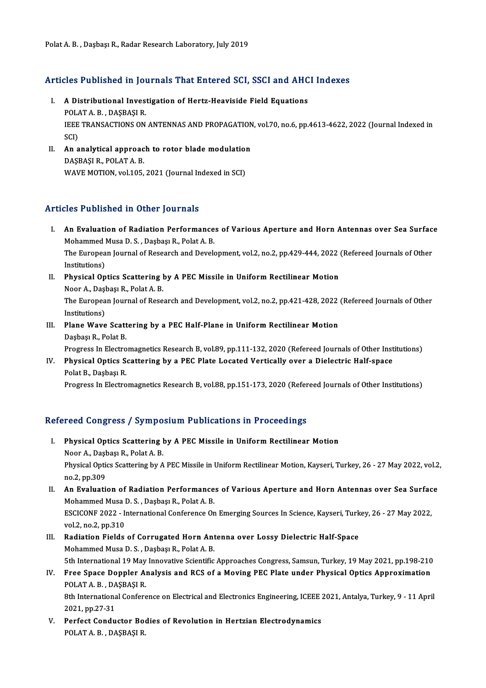# Polat A. B. , Daşbaşı R., Radar Research Laboratory, July 2019<br>Articles Published in Journals That Entered SCI, SSCI and AHCI Indexes

- rticles Published in Journals That Entered SCI, SSCI and AHC<br>I. A Distributional Investigation of Hertz-Heaviside Field Equations<br>POLATA B. DASPASLE I. A Distributional Investigation of Hertz-Heaviside Field Equations A Distributional Investigation of Hertz-Heaviside Field Equations<br>POLAT A. B. , DAŞBAŞI R.<br>IEEE TRANSACTIONS ON ANTENNAS AND PROPAGATION, vol.70, no.6, pp.4613-4622, 2022 (Journal Indexed in<br>SCD POLAT A. B. , DAȘBAȘI R.<br>IEEE TRANSACTIONS ON ANTENNAS AND PROPAGATIOI<br>SCI)<br>II. An analytical approach to rotor blade modulation IEEE TRANSACTIONS ON ANTENNAS AND PROPAGATION<br>SCI)<br>II. An analytical approach to rotor blade modulation<br>DASPASLE ROLATA R
- DAŞBAŞIR.,POLATA.B. WAVE MOTION, vol.105, 2021 (Journal Indexed in SCI)

## Articles Published in Other Journals

- rticles Published in Other Journals<br>I. An Evaluation of Radiation Performances of Various Aperture and Horn Antennas over Sea Surface<br>Mehammed Muse D. S. Deshas B. Bokt A. B Mohammed III Stifts Journalis<br>An Evaluation of Radiation Performance<br>Mohammed Musa D. S. , Daşbaşı R., Polat A. B.<br>The European Journal of Bessersh and Davels An Evaluation of Radiation Performances of Various Aperture and Horn Antennas over Sea Surfac<br>Mohammed Musa D. S. , Daşbaşı R., Polat A. B.<br>The European Journal of Research and Development, vol.2, no.2, pp.429-444, 2022 (R Mohammed Musa D. S. , Daşbaşı R., Polat A. B.<br>The European Journal of Research and Development, vol.2, no.2, pp.429-444, 2022<br>Institutions)<br>II. Physical Optics Scattering by A PEC Missile in Uniform Rectilinear Motion The European Journal of Research and Development, vol.2, no.2, pp.429-444, 2022 (Refereed Journals of Other
- NoorA.,DaşbaşıR.,PolatA.B. Physical Optics Scattering by A PEC Missile in Uniform Rectilinear Motion<br>Noor A., Daşbaşı R., Polat A. B.<br>The European Journal of Research and Development, vol.2, no.2, pp.421-428, 2022 (Refereed Journals of Other<br>Institu Noor A., Daşl<br>The Europea<br>Institutions)<br>Plane Wayo The European Journal of Research and Development, vol.2, no.2, pp.421-428, 2022<br>Institutions)<br>III. Plane Wave Scattering by a PEC Half-Plane in Uniform Rectilinear Motion<br>Deshact B. Polat B.
- Institutions)<br><mark>Plane Wave Scatt</mark><br>Daşbaşı R., Polat B.<br>Progress In Flectre Plane Wave Scattering by a PEC Half-Plane in Uniform Rectilinear Motion<br>Daşbaşı R., Polat B.<br>Progress In Electromagnetics Research B, vol.89, pp.111-132, 2020 (Refereed Journals of Other Institutions)<br>Physical Ontics Sectt

Daşbaşı R., Polat B.<br>Progress In Electromagnetics Research B, vol.89, pp.111-132, 2020 (Refereed Journals of Other Inst<br>IV. Physical Optics Scattering by a PEC Plate Located Vertically over a Dielectric Half-space<br>Polat B. Progress In Electro<br><mark>Physical Optics S</mark>.<br>Polat B., Daşbaşı R.<br>Progress In Electro Physical Optics Scattering by a PEC Plate Located Vertically over a Dielectric Half-space<br>Polat B., Daşbaşı R.<br>Progress In Electromagnetics Research B, vol.88, pp.151-173, 2020 (Refereed Journals of Other Institutions)

Progress In Electromagnetics Research B, vol.88, pp.151-173, 2020 (Refereed Journals of Other Institutions)<br>Refereed Congress / Symposium Publications in Proceedings

- efereed Congress / Symposium Publications in Proceedings<br>I. Physical Optics Scattering by A PEC Missile in Uniform Rectilinear Motion Noor A., Daşbaşı R., Polat A. B.<br>Noor A., Daşbaşı R., Polat A. B.<br>Bhysical Ontics Scattering by A. Physical Optics Scattering by A PEC Missile in Uniform Rectilinear Motion<br>Noor A., Daşbaşı R., Polat A. B.<br>Physical Optics Scattering by A PEC Missile in Uniform Rectilinear Motion, Kayseri, Turkey, 26 - 27 May 2022, vol.2 Noor A., Daşl<br>Physical Option<br>no.2, pp.309<br>An Evolucti Physical Optics Scattering by A PEC Missile in Uniform Rectilinear Motion, Kayseri, Turkey, 26 - 27 May 2022, vol.2<br>no.2, pp.309<br>II. An Evaluation of Radiation Performances of Various Aperture and Horn Antennas over Sea Su
- no.2, pp.309<br>An Evaluation of Radiation Performance<br>Mohammed Musa D. S. , Daşbaşı R., Polat A. B.<br>ESCICONE 2022 International Conference On An Evaluation of Radiation Performances of Various Aperture and Horn Antennas over Sea Surfac<br>Mohammed Musa D. S. , Daşbaşı R., Polat A. B.<br>ESCICONF 2022 - International Conference On Emerging Sources In Science, Kayseri, Mohammed Musa I<br>ESCICONF 2022 - I<sub>V</sub><br>vol.2, no.2, pp.310<br>Podiation Fields ESCICONF 2022 - International Conference On Emerging Sources In Science, Kayseri, Turk<br>vol.2, no.2, pp.310<br>III. Radiation Fields of Corrugated Horn Antenna over Lossy Dielectric Half-Space<br>Mohammed Muse D. S. Dashası B. Pa
- vol.2, no.2, pp.310<br>III. Radiation Fields of Corrugated Horn Antenna over Lossy Dielectric Half-Space<br>Mohammed Musa D. S. , Daşbaşı R., Polat A. B. 5th International 19 May Innovative Scientific Approaches Congress, Samsun, Turkey, 19 May 2021, pp.198-210
- IV. Free Space Doppler Analysis and RCS of a Moving PEC Plate under Physical Optics Approximation 5th International 19 May<br>Free Space Doppler A<br>POLAT A. B. , DAŞBAŞI R.<br><sup>9th International Confere</sup>

8th International Conference on Electrical and Electronics Engineering, ICEEE 2021, Antalya, Turkey, 9 - 11 April 2021, pp.27-31 POLAT A. B., DA<br>8th Internations<br>2021, pp.27-31<br>Perfect Condu 8th International Conference on Electrical and Electronics Engineering, ICEEE 2021, pp.27-31<br>V. Perfect Conductor Bodies of Revolution in Hertzian Electrodynamics<br>POLATA B. DASPASLE

2021, pp.27-31<br>Perfect Conductor Bo<br>POLAT A. B. , DAŞBAŞI R.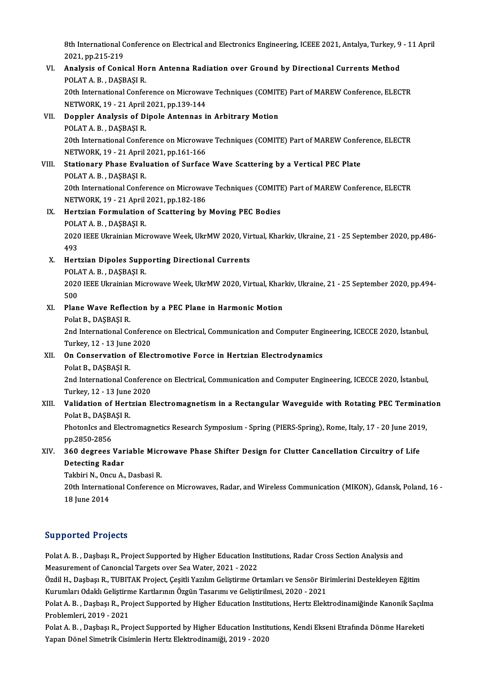8th International Conference on Electrical and Electronics Engineering, ICEEE 2021, Antalya, Turkey, 9 - 11 April<br>2021, np.215, 210 2021, pp.215-219<br>2021, pp.215-219<br>Analysia of Conis 8th International Conference on Electrical and Electronics Engineering, ICEEE 2021, Antalya, Turkey, 9<br>2021, pp.215-219<br>VI. Analysis of Conical Horn Antenna Radiation over Ground by Directional Currents Method<br>POLATA B. PA

## 2021, pp.215-219<br>VI. Analysis of Conical Horn Antenna Radiation over Ground by Directional Currents Method<br>POLAT A. B. , DAŞBAŞIR. Analysis of Conical Horn Antenna Radiation over Ground by Directional Currents Method<br>POLAT A. B. , DAŞBAŞI R.<br>20th International Conference on Microwave Techniques (COMITE) Part of MAREW Conference, ELECTR<br>NETWORK 19 - 21

POLAT A. B. , DAŞBAŞI R.<br>20th International Conference on Microway<br>NETWORK, 19 - 21 April 2021, pp.139-144<br>Dennler Analysis of Dinala Antennas i 20th International Conference on Microwave Techniques (COMIT<br>NETWORK, 19 - 21 April 2021, pp.139-144<br>VII. Doppler Analysis of Dipole Antennas in Arbitrary Motion<br>POLATA B. DASPASLE

## NETWORK, 19 - 21 April<br>Doppler Analysis of D<br>POLAT A. B. , DAŞBAŞI R.<br>20th International Confor POLAT A. B. , DAȘBAȘI R.<br>20th International Conference on Microwave Techniques (COMITE) Part of MAREW Conference, ELECTR POLAT A. B. , DAŞBAŞI R.<br>20th International Conference on Microway<br>NETWORK, 19 - 21 April 2021, pp.161-166<br>Stationary Bhase Evaluation of Surface

## VIII. Stationary Phase Evaluation of Surface Wave Scattering by a Vertical PEC Plate<br>POLAT A. B., DASBASI R. NETWORK, 19 - 21 April<br>Stationary Phase Evalı<br>POLAT A. B. , DAŞBAŞI R.<br>20th International Confei

20th International Conference on Microwave Techniques (COMITE) Part of MAREW Conference, ELECTR POLAT A. B. , DAŞBAŞI R.<br>20th International Conference on Microway<br>NETWORK, 19 - 21 April 2021, pp.182-186<br>Hertzian Formulation of Secttoring by

## IX. Hertzian Formulation of Scattering by Moving PEC Bodies<br>POLAT A. B., DASBASI R. NETWORK, 19 - 21 April<br>Hertzian Formulation<br>POLAT A. B. , DAŞBAŞI R.<br>2020 IEEE Illmajnion Mic Hertzian Formulation of Scattering by Moving PEC Bodies<br>POLAT A. B. , DAŞBAŞI R.<br>2020 IEEE Ukrainian Microwave Week, UkrMW 2020, Virtual, Kharkiv, Ukraine, 21 - 25 September 2020, pp.486-<br>402 POLA<br>2020<br>493<br>Hert

# 2020 IEEE Ukrainian Microwave Week, UkrMW 2020, Vir<br>493<br>X. Hertzian Dipoles Supporting Directional Currents<br>POLATA B. DASPASLE 493<br>Hertzian Dipoles Supp<br>POLAT A. B. , DAŞBAŞI R.<br>2020 IEEE Illmajnian Mis

POLAT A. B., DASBASI R.

2020 IEEE Ukrainian Microwave Week, UkrMW 2020, Virtual, Kharkiv, Ukraine, 21 - 25 September 2020, pp.494-<br>500 2020 IEEE Ukrainian Microwave Week, UkrMW 2020, Virtual, Khar<br>500<br>XI. Plane Wave Reflection by a PEC Plane in Harmonic Motion<br>Rolat B, DASPASLE

# 500<br><mark>Plane Wave Reflec</mark><br>Polat B., DAŞBAŞI R.<br><sup>2nd International Co</sup>

Plane Wave Reflection by a PEC Plane in Harmonic Motion<br>Polat B., DAŞBAŞI R.<br>2nd International Conference on Electrical, Communication and Computer Engineering, ICECCE 2020, İstanbul,<br>Turkey, 12, 13 June 2020. Polat B., DAŞBAŞI R.<br>2nd International Conferer<br>Turkey, 12 - 13 June 2020<br>On Conservation of Flee Turkey, 12 - 13 June 2020

## XII. On Conservation of Electromotive Force in Hertzian Electrodynamics<br>Polat B., DASBASI R.

On Conservation of Electromotive Force in Hertzian Electrodynamics<br>Polat B., DAŞBAŞI R.<br>2nd International Conference on Electrical, Communication and Computer Engineering, ICECCE 2020, İstanbul,<br>Turkay 12, 13 June 2020. Polat B., DAŞBAŞI R.<br>2nd International Conferer<br>Turkey, 12 - 13 June 2020<br>Velidation of Hertrian E

## Turkey, 12 - 13 June 2020<br>XIII. Validation of Hertzian Electromagnetism in a Rectangular Waveguide with Rotating PEC Termination Polat B, DAŞBAŞIR. Validation of Hertzian Electromagnetism in a Rectangular Waveguide with Rotating PEC Terminat<br>Polat B., DAŞBAŞI R.<br>PhotonIcs and Electromagnetics Research Symposium - Spring (PIERS-Spring), Rome, Italy, 17 - 20 June 2019,<br>

Polat B., DAŞBA<br>PhotonIcs and<br>pp.2850-2856<br>260 despece : PhotonIcs and Electromagnetics Research Symposium - Spring (PIERS-Spring), Rome, Italy, 17 - 20 June 201<br>pp.2850-2856<br>XIV. 360 degrees Variable Microwave Phase Shifter Design for Clutter Cancellation Circuitry of Life<br>Dete

# pp.2850-2856<br>360 degrees Var<br>Detecting Radar<br>Takhiri N. Orgy A 360 degrees Variable Micr<br>Detecting Radar<br>Takbiri N., Oncu A., Dasbasi R.<br>20th International Conference

Detecting Radar<br>Takbiri N., Oncu A., Dasbasi R.<br>20th International Conference on Microwaves, Radar, and Wireless Communication (MIKON), Gdansk, Poland, 16 -Takbiri N., Onc<br>20th Internati<br>18 June 2014

# 18 June 2014<br>Supported Projects

Supported Projects<br>Polat A. B. , Daşbaşı R., Project Supported by Higher Education Institutions, Radar Cross Section Analysis and<br>Measurement of Conongial Tergets aver See Weten 2021, 2022 Measurement of Speed<br>Polat A. B. , Daşbaşı R., Project Supported by Higher Education In:<br>Measurement of Canoncial Targets over Sea Water, 2021 - 2022<br>Özdil H. Dasbası B. TUBITAK Brejast, Casitli Yarılım Colistinma On Polat A. B. , Daşbaşı R., Project Supported by Higher Education Institutions, Radar Cross Section Analysis and<br>Measurement of Canoncial Targets over Sea Water, 2021 - 2022<br>Özdil H., Daşbaşı R., TUBITAK Project, Çeşitli Yaz

Measurement of Canoncial Targets over Sea Water, 2021 - 2022<br>Özdil H., Daşbaşı R., TUBITAK Project, Çeşitli Yazılım Geliştirme Ortamları ve Sensör Birimlerini Destekleyen Eğitim<br>Kurumları Odaklı Geliştirme Kartlarının Özgü Özdil H., Daşbaşı R., TUBITAK Project, Çeşitli Yazılım Geliştirme Ortamları ve Sensör Birimlerini Destekleyen Eğitim<br>Kurumları Odaklı Geliştirme Kartlarının Özgün Tasarımı ve Geliştirilmesi, 2020 - 2021<br>Polat A. B. , Daşba

Kurumları Odaklı Geliştirn<br>Polat A. B. , Daşbaşı R., Pro<br>Problemleri, 2019 - 2021<br>Polat A. B. , Dasbaşı B., Pro Polat A. B. , Daşbaşı R., Project Supported by Higher Education Institutions, Hertz Elektrodinamiğinde Kanonik Saçılı<br>Problemleri, 2019 - 2021<br>Polat A. B. , Daşbaşı R., Project Supported by Higher Education Institutions, K

Problemleri, 2019 - 2021<br>Polat A. B. , Daşbaşı R., Project Supported by Higher Education Institutions, Kendi Ekseni Etrafında Dönme Hareketi<br>Yapan Dönel Simetrik Cisimlerin Hertz Elektrodinamiği, 2019 - 2020